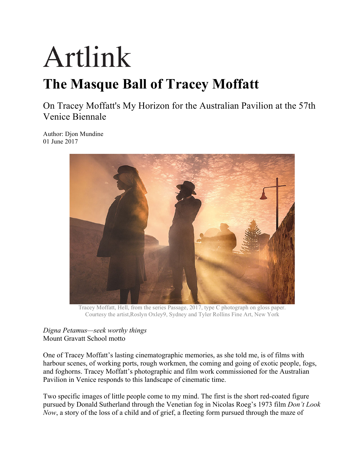## Artlink

## **The Masque Ball of Tracey Moffatt**

On Tracey Moffatt's My Horizon for the Australian Pavilion at the 57th Venice Biennale

Author: Djon Mundine 01 June 2017



Tracey Moffatt, Hell, from the series Passage, 2017, type C photograph on gloss paper. Courtesy the artist,Roslyn Oxley9, Sydney and Tyler Rollins Fine Art, New York

## *Digna Petamus—seek worthy things* Mount Gravatt School motto

One of Tracey Moffatt's lasting cinematographic memories, as she told me, is of films with harbour scenes, of working ports, rough workmen, the coming and going of exotic people, fogs, and foghorns. Tracey Moffatt's photographic and film work commissioned for the Australian Pavilion in Venice responds to this landscape of cinematic time.

Two specific images of little people come to my mind. The first is the short red-coated figure pursued by Donald Sutherland through the Venetian fog in Nicolas Roeg's 1973 film *Don't Look Now*, a story of the loss of a child and of grief, a fleeting form pursued through the maze of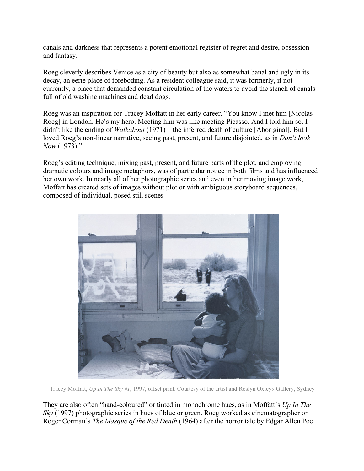canals and darkness that represents a potent emotional register of regret and desire, obsession and fantasy.

Roeg cleverly describes Venice as a city of beauty but also as somewhat banal and ugly in its decay, an eerie place of foreboding. As a resident colleague said, it was formerly, if not currently, a place that demanded constant circulation of the waters to avoid the stench of canals full of old washing machines and dead dogs.

Roeg was an inspiration for Tracey Moffatt in her early career. "You know I met him [Nicolas Roeg] in London. He's my hero. Meeting him was like meeting Picasso. And I told him so. I didn't like the ending of *Walkabout* (1971)—the inferred death of culture [Aboriginal]. But I loved Roeg's non-linear narrative, seeing past, present, and future disjointed, as in *Don't look Now* (1973)."

Roeg's editing technique, mixing past, present, and future parts of the plot, and employing dramatic colours and image metaphors, was of particular notice in both films and has influenced her own work. In nearly all of her photographic series and even in her moving image work, Moffatt has created sets of images without plot or with ambiguous storyboard sequences, composed of individual, posed still scenes



Tracey Moffatt, *Up In The Sky #1*, 1997, offset print. Courtesy of the artist and Roslyn Oxley9 Gallery, Sydney

They are also often "hand-coloured" or tinted in monochrome hues, as in Moffatt's *Up In The Sky* (1997) photographic series in hues of blue or green. Roeg worked as cinematographer on Roger Corman's *The Masque of the Red Death* (1964) after the horror tale by Edgar Allen Poe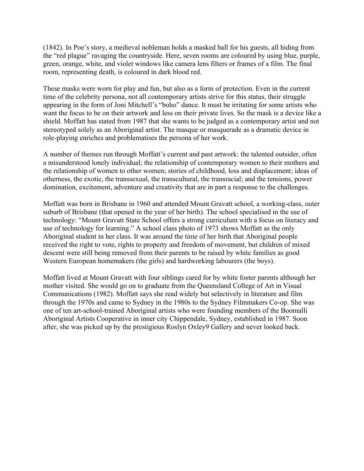(1842). In Poe's story, a medieval nobleman holds a masked ball for his guests, all hiding from the "red plague" ravaging the countryside. Here, seven rooms are coloured by using blue, purple, green, orange, white, and violet windows like camera lens filters or frames of a film. The final room, representing death, is coloured in dark blood red.

These masks were worn for play and fun, but also as a form of protection. Even in the current time of the celebrity persona, not all contemporary artists strive for this status, their struggle appearing in the form of Joni Mitchell's "boho" dance. It must be irritating for some artists who want the focus to be on their artwork and less on their private lives. So the mask is a device like a shield. Moffatt has stated from 1987 that she wants to be judged as a contemporary artist and not stereotyped solely as an Aboriginal artist. The masque or masquerade as a dramatic device in role-playing enriches and problematises the persona of her work.

A number of themes run through Moffatt's current and past artwork: the talented outsider, often a misunderstood lonely individual; the relationship of contemporary women to their mothers and the relationship of women to other women; stories of childhood, loss and displacement; ideas of otherness, the exotic, the transsexual, the transcultural, the transracial; and the tensions, power domination, excitement, adventure and creativity that are in part a response to the challenges.

Moffatt was born in Brisbane in 1960 and attended Mount Gravatt school, a working-class, outer suburb of Brisbane (that opened in the year of her birth). The school specialised in the use of technology: "Mount Gravatt State School offers a strong curriculum with a focus on literacy and use of technology for learning." A school class photo of 1973 shows Moffatt as the only Aboriginal student in her class. It was around the time of her birth that Aboriginal people received the right to vote, rights to property and freedom of movement, but children of mixed descent were still being removed from their parents to be raised by white families as good Western European homemakers (the girls) and hardworking labourers (the boys).

Moffatt lived at Mount Gravatt with four siblings cared for by white foster parents although her mother visited. She would go on to graduate from the Queensland College of Art in Visual Communications (1982). Moffatt says she read widely but selectively in literature and film through the 1970s and came to Sydney in the 1980s to the Sydney Filmmakers Co-op. She was one of ten art-school-trained Aboriginal artists who were founding members of the Boomalli Aboriginal Artists Cooperative in inner city Chippendale, Sydney, established in 1987. Soon after, she was picked up by the prestigious Roslyn Oxley9 Gallery and never looked back.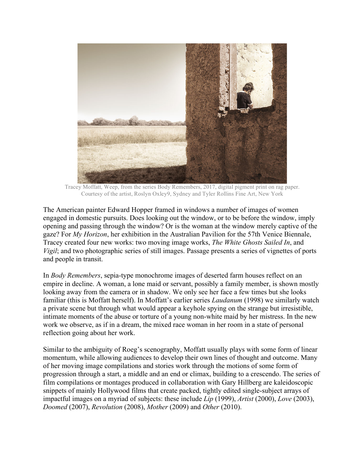

Tracey Moffatt, Weep, from the series Body Remembers, 2017, digital pigment print on rag paper. Courtesy of the artist, Roslyn Oxley9, Sydney and Tyler Rollins Fine Art, New York

The American painter Edward Hopper framed in windows a number of images of women engaged in domestic pursuits. Does looking out the window, or to be before the window, imply opening and passing through the window? Or is the woman at the window merely captive of the gaze? For *My Horizon*, her exhibition in the Australian Pavilion for the 57th Venice Biennale, Tracey created four new works: two moving image works, *The White Ghosts Sailed In*, and *Vigil*; and two photographic series of still images. Passage presents a series of vignettes of ports and people in transit.

In *Body Remembers*, sepia-type monochrome images of deserted farm houses reflect on an empire in decline. A woman, a lone maid or servant, possibly a family member, is shown mostly looking away from the camera or in shadow. We only see her face a few times but she looks familiar (this is Moffatt herself). In Moffatt's earlier series *Laudanum* (1998) we similarly watch a private scene but through what would appear a keyhole spying on the strange but irresistible, intimate moments of the abuse or torture of a young non-white maid by her mistress. In the new work we observe, as if in a dream, the mixed race woman in her room in a state of personal reflection going about her work.

Similar to the ambiguity of Roeg's scenography, Moffatt usually plays with some form of linear momentum, while allowing audiences to develop their own lines of thought and outcome. Many of her moving image compilations and stories work through the motions of some form of progression through a start, a middle and an end or climax, building to a crescendo. The series of film compilations or montages produced in collaboration with Gary Hillberg are kaleidoscopic snippets of mainly Hollywood films that create packed, tightly edited single-subject arrays of impactful images on a myriad of subjects: these include *Lip* (1999), *Artist* (2000), *Love* (2003), *Doomed* (2007), *Revolution* (2008), *Mother* (2009) and *Other* (2010).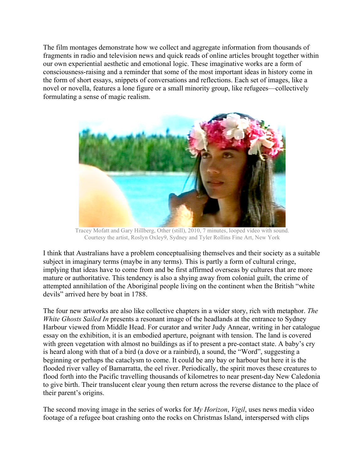The film montages demonstrate how we collect and aggregate information from thousands of fragments in radio and television news and quick reads of online articles brought together within our own experiential aesthetic and emotional logic. These imaginative works are a form of consciousness-raising and a reminder that some of the most important ideas in history come in the form of short essays, snippets of conversations and reflections. Each set of images, like a novel or novella, features a lone figure or a small minority group, like refugees—collectively formulating a sense of magic realism.



Tracey Mofatt and Gary Hillberg, Other (still), 2010, 7 minutes, looped video with sound. Courtesy the artist, Roslyn Oxley9, Sydney and Tyler Rollins Fine Art, New York

I think that Australians have a problem conceptualising themselves and their society as a suitable subject in imaginary terms (maybe in any terms). This is partly a form of cultural cringe, implying that ideas have to come from and be first affirmed overseas by cultures that are more mature or authoritative. This tendency is also a shying away from colonial guilt, the crime of attempted annihilation of the Aboriginal people living on the continent when the British "white devils" arrived here by boat in 1788.

The four new artworks are also like collective chapters in a wider story, rich with metaphor. *The White Ghosts Sailed In* presents a resonant image of the headlands at the entrance to Sydney Harbour viewed from Middle Head. For curator and writer Judy Annear, writing in her catalogue essay on the exhibition, it is an embodied aperture, poignant with tension. The land is covered with green vegetation with almost no buildings as if to present a pre-contact state. A baby's cry is heard along with that of a bird (a dove or a rainbird), a sound, the "Word", suggesting a beginning or perhaps the cataclysm to come. It could be any bay or harbour but here it is the flooded river valley of Bamarratta, the eel river. Periodically, the spirit moves these creatures to flood forth into the Pacific travelling thousands of kilometres to near present-day New Caledonia to give birth. Their translucent clear young then return across the reverse distance to the place of their parent's origins.

The second moving image in the series of works for *My Horizon*, *Vigil*, uses news media video footage of a refugee boat crashing onto the rocks on Christmas Island, interspersed with clips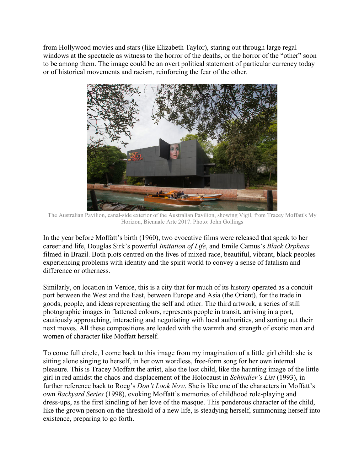from Hollywood movies and stars (like Elizabeth Taylor), staring out through large regal windows at the spectacle as witness to the horror of the deaths, or the horror of the "other" soon to be among them. The image could be an overt political statement of particular currency today or of historical movements and racism, reinforcing the fear of the other.



The Australian Pavilion, canal-side exterior of the Australian Pavilion, showing Vigil, from Tracey Moffatt's My Horizon, Biennale Arte 2017. Photo: John Gollings

In the year before Moffatt's birth (1960), two evocative films were released that speak to her career and life, Douglas Sirk's powerful *Imitation of Life*, and Emile Camus's *Black Orpheus* filmed in Brazil. Both plots centred on the lives of mixed-race, beautiful, vibrant, black peoples experiencing problems with identity and the spirit world to convey a sense of fatalism and difference or otherness.

Similarly, on location in Venice, this is a city that for much of its history operated as a conduit port between the West and the East, between Europe and Asia (the Orient), for the trade in goods, people, and ideas representing the self and other. The third artwork, a series of still photographic images in flattened colours, represents people in transit, arriving in a port, cautiously approaching, interacting and negotiating with local authorities, and sorting out their next moves. All these compositions are loaded with the warmth and strength of exotic men and women of character like Moffatt herself.

To come full circle, I come back to this image from my imagination of a little girl child: she is sitting alone singing to herself, in her own wordless, free-form song for her own internal pleasure. This is Tracey Moffatt the artist, also the lost child, like the haunting image of the little girl in red amidst the chaos and displacement of the Holocaust in *Schindler's List* (1993), in further reference back to Roeg's *Don't Look Now*. She is like one of the characters in Moffatt's own *Backyard Series* (1998), evoking Moffatt's memories of childhood role-playing and dress-ups, as the first kindling of her love of the masque. This ponderous character of the child, like the grown person on the threshold of a new life, is steadying herself, summoning herself into existence, preparing to go forth.